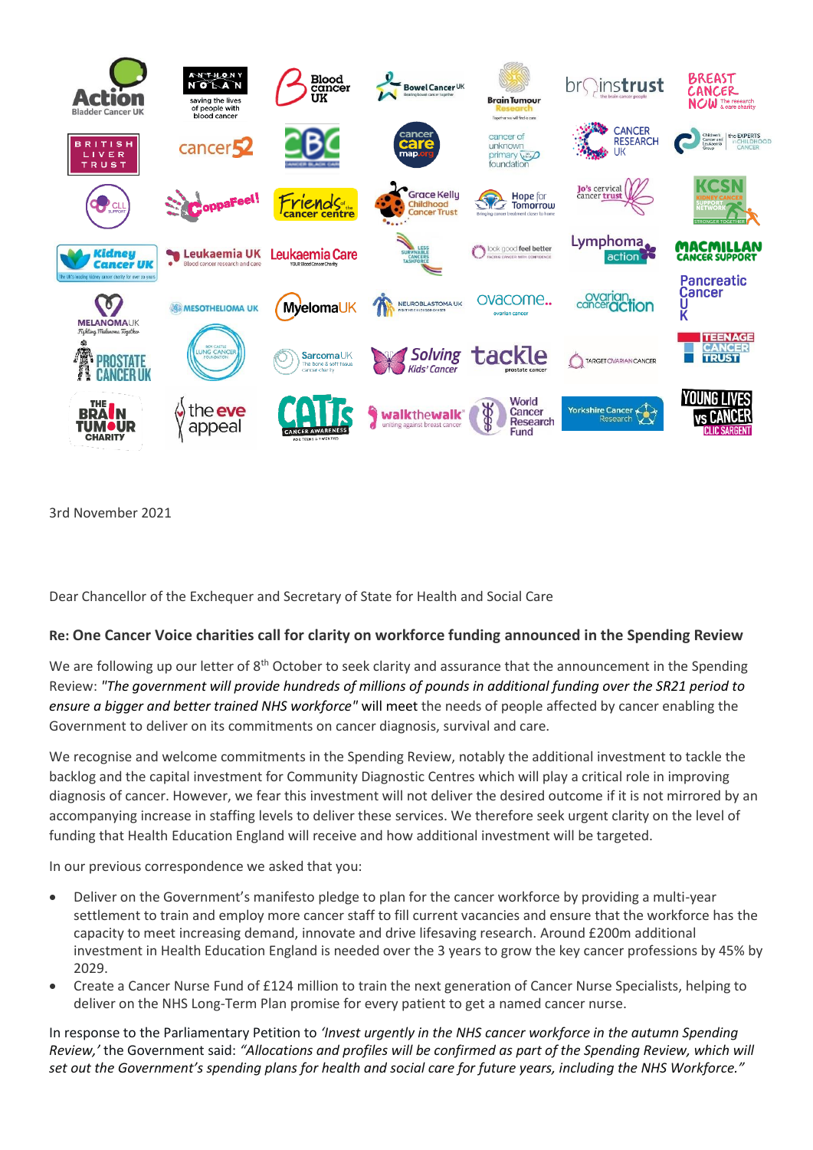

3rd November 2021

Dear Chancellor of the Exchequer and Secretary of State for Health and Social Care

## **Re: One Cancer Voice charities call for clarity on workforce funding announced in the Spending Review**

We are following up our letter of 8<sup>th</sup> October to seek clarity and assurance that the announcement in the Spending Review: *"The government will provide hundreds of millions of pounds in additional funding over the SR21 period to ensure a bigger and better trained NHS workforce"* will meet the needs of people affected by cancer enabling the Government to deliver on its commitments on cancer diagnosis, survival and care.

We recognise and welcome commitments in the Spending Review, notably the additional investment to tackle the backlog and the capital investment for Community Diagnostic Centres which will play a critical role in improving diagnosis of cancer. However, we fear this investment will not deliver the desired outcome if it is not mirrored by an accompanying increase in staffing levels to deliver these services. We therefore seek urgent clarity on the level of funding that Health Education England will receive and how additional investment will be targeted.

In our previous correspondence we asked that you:

- Deliver on the Government's manifesto pledge to plan for the cancer workforce by providing a multi-year settlement to train and employ more cancer staff to fill current vacancies and ensure that the workforce has the capacity to meet increasing demand, innovate and drive lifesaving research. Around £200m additional investment in Health Education England is needed over the 3 years to grow the key cancer professions by 45% by 2029.
- Create a Cancer Nurse Fund of £124 million to train the next generation of Cancer Nurse Specialists, helping to deliver on the NHS Long-Term Plan promise for every patient to get a named cancer nurse.

In response to the Parliamentary Petition to *'Invest urgently in the NHS cancer workforce in the autumn Spending Review,'* the Government said: *"Allocations and profiles will be confirmed as part of the Spending Review, which will set out the Government's spending plans for health and social care for future years, including the NHS Workforce."*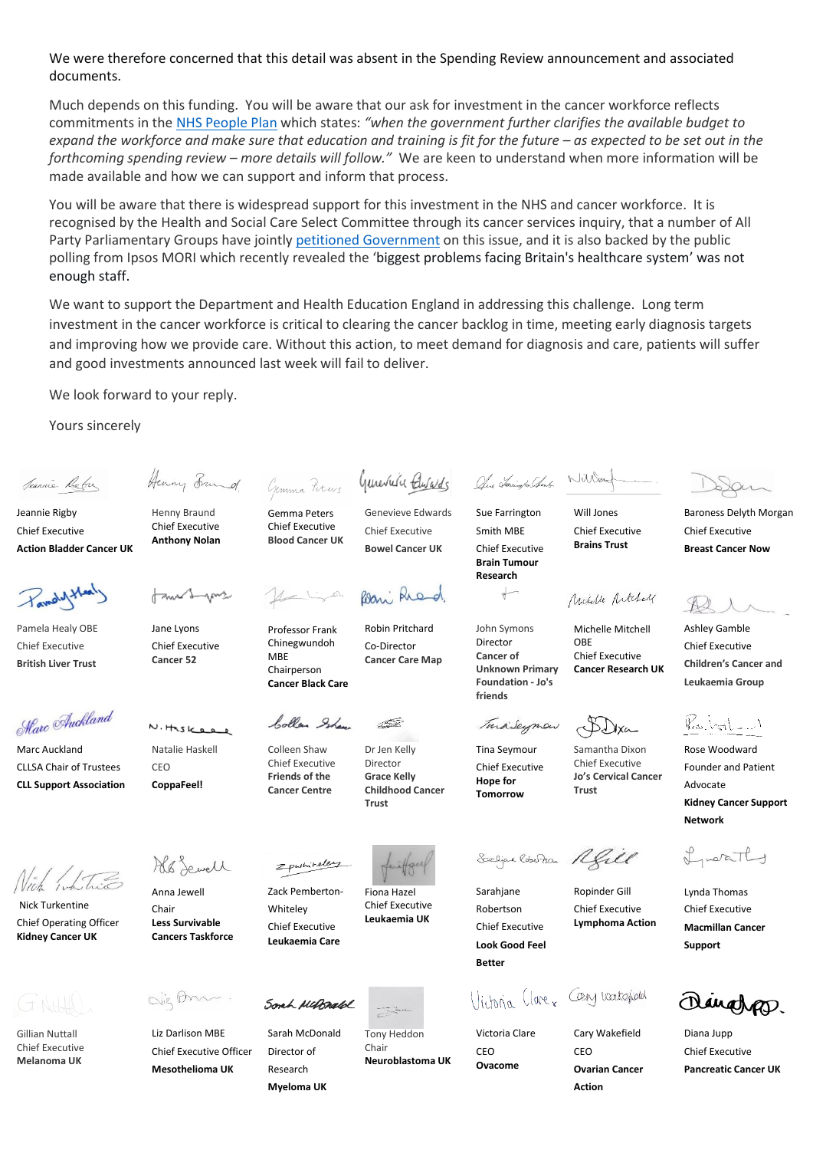We were therefore concerned that this detail was absent in the Spending Review announcement and associated documents.

Much depends on this funding. You will be aware that our ask for investment in the cancer workforce reflects commitments in the [NHS People Plan](https://www.england.nhs.uk/wp-content/uploads/2020/07/We-Are-The-NHS-Action-For-All-Of-Us-FINAL-March-21.pdf) which states: *"when the government further clarifies the available budget to expand the workforce and make sure that education and training is fit for the future – as expected to be set out in the forthcoming spending review – more details will follow."* We are keen to understand when more information will be made available and how we can support and inform that process.

You will be aware that there is widespread support for this investment in the NHS and cancer workforce. It is recognised by the Health and Social Care Select Committee through its cancer services inquiry, that a number of All Party Parliamentary Groups have jointl[y petitioned Government](https://petition.parliament.uk/petitions/596566/) on this issue, and it is also backed by the public polling from Ipsos MORI which recently revealed the 'biggest problems facing Britain's healthcare system' was not enough staff.

We want to support the Department and Health Education England in addressing this challenge. Long term investment in the cancer workforce is critical to clearing the cancer backlog in time, meeting early diagnosis targets and improving how we provide care. Without this action, to meet demand for diagnosis and care, patients will suffer and good investments announced last week will fail to deliver.

> Genevieve Edwards Chief Executive **Bowel Cancer UK**

We look forward to your reply.

Henny Braund Chief Executive **Anthony Nolan**

Henry Frand

Jane Lyons Chief Executive **Cancer 52**

Yours sincerely

Seannie Reber

Jeannie Rigby Chief Executive **Action Bladder Cancer UK**

Pandyt

Pamela Healy OBE Chief Executive **British Liver Trust**

Harc Auckland

Marc Auckland CLLSA Chair of Trustees **CLL Support Association**

Nick Turkentine Chief Operating Officer **Kidney Cancer UK**

Gillian Nuttall Chief Executive **Melanoma UK**

Als Sewell

Natalie Haskell

 $N.$ Heskee

CEO **CoppaFeel!**

Anna Jewell Chair **Less Survivable Cancers Taskforce**

dig Am

Liz Darlison MBE Chief Executive Officer **Mesothelioma UK**

Gemma Percys Generates Buralds Gemma Peters Chief Executive

**Blood Cancer UK**

Professor Frank Chinegwundoh MBF Chairperson **Cancer Black Care**

bollen Shaw

Colleen Shaw Chief Executive **Friends of the Cancer Centre**

Zack Pemberton-**Whiteley** Chief Executive **Leukaemia Care**

Zpwhiteley

Sarah McDonald Director of Research **Myeloma UK**

Dr Jen Kelly Director **Grace Kelly** 

ÆŠ

Robin Pritchard Co-Director **Cancer Care Map**

Bani Ried

**Childhood Cancer Trust**

Fiona Hazel Chief Executive **Leukaemia UK**

Sonh McBrald

Tony Heddon Chair **Neuroblastoma UK**

One Tomington Change William

Sue Farrington Smith MBE Chief Executive **Brain Tumour Research**

John Symons Director **Cancer of Unknown Primary Foundation - Jo's friends**

TuraSeyman

Tina Seymour Chief Executive **Hope for Tomorrow**

Sodipe Rebelton Rell

Sarahjane Robertson Chief Executive **Look Good Feel Better**

*Historia* Clarex Cany loakgjoed

Victoria Clare **CEO Ovacome**

Will Jones

Chief Executive **Brains Trust**

Nicholle Articley

Michelle Mitchell OBE Chief Executive **Cancer Research UK**

Samantha Dixon Chief Executive **Jo's Cervical Cancer Trust** 

Ropinder Gill Chief Executive **Lymphoma Action**

Cary Wakefield CEO **Ovarian Cancer Action**

Baroness Delyth Morgan Chief Executive **Breast Cancer Now**

Ashley Gamble Chief Executive **Children's Cancer and Leukaemia Group**

Karbat - 1

Rose Woodward Founder and Patient Advocate **Kidney Cancer Support Network**

Lucathy

Lynda Thomas Chief Executive **Macmillan Cancer Support**

unahan

Diana Jupp Chief Executive **Pancreatic Cancer UK**